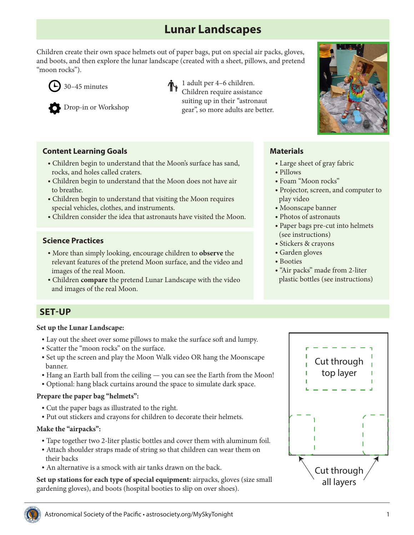# **Lunar Landscapes**

Children create their own space helmets out of paper bags, put on special air packs, gloves, and boots, and then explore the lunar landscape (created with a sheet, pillows, and pretend "moon rocks").



30–45 minutes



Drop-in or Workshop

1 adult per 4–6 children. Children require assistance suiting up in their "astronaut gear", so more adults are better.

## **Content Learning Goals**

- Children begin to understand that the Moon's surface has sand, rocks, and holes called craters.
- Children begin to understand that the Moon does not have air to breathe.
- Children begin to understand that visiting the Moon requires special vehicles, clothes, and instruments.
- Children consider the idea that astronauts have visited the Moon.

## **Science Practices**

- More than simply looking, encourage children to **observe** the relevant features of the pretend Moon surface, and the video and images of the real Moon.
- Children **compare** the pretend Lunar Landscape with the video and images of the real Moon.

# **Materials**

- Large sheet of gray fabric
- Pillows
- Foam "Moon rocks"
- Projector, screen, and computer to play video
- Moonscape banner
- Photos of astronauts
- Paper bags pre-cut into helmets (see instructions)
- Stickers & crayons
- Garden gloves
- Booties
- "Air packs" made from 2-liter plastic bottles (see instructions)

## **SET-UP**

#### **Set up the Lunar Landscape:**

- Lay out the sheet over some pillows to make the surface soft and lumpy.
- Scatter the "moon rocks" on the surface.
- Set up the screen and play the Moon Walk video OR hang the Moonscape banner.
- Hang an Earth ball from the ceiling you can see the Earth from the Moon!
- Optional: hang black curtains around the space to simulate dark space.

### **Prepare the paper bag "helmets":**

- Cut the paper bags as illustrated to the right.
- Put out stickers and crayons for children to decorate their helmets.

### **Make the "airpacks":**

- Tape together two 2-liter plastic bottles and cover them with aluminum foil.
- Attach shoulder straps made of string so that children can wear them on their backs
- An alternative is a smock with air tanks drawn on the back.

**Set up stations for each type of special equipment:** airpacks, gloves (size small gardening gloves), and boots (hospital booties to slip on over shoes).





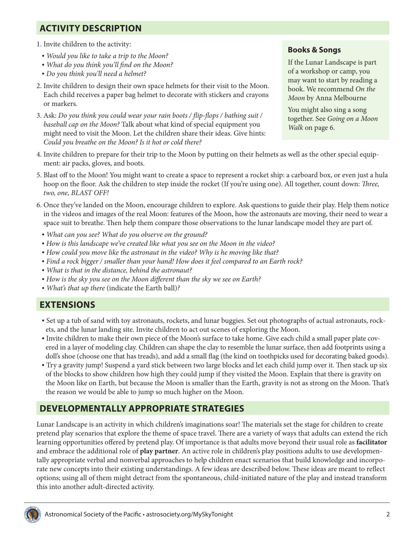# **ACTIVITY DESCRIPTION**

- 1. Invite children to the activity:
- *• Would you like to take a trip to the Moon?*
- *• What do you think you'll find on the Moon?*
- *• Do you think you'll need a helmet?*
- 2. Invite children to design their own space helmets for their visit to the Moon. Each child receives a paper bag helmet to decorate with stickers and crayons or markers.
- 3. Ask: *Do you think you could wear your rain boots / flip-flops / bathing suit / baseball cap on the Moon?* Talk about what kind of special equipment you might need to visit the Moon. Let the children share their ideas. Give hints: *Could you breathe on the Moon? Is it hot or cold there?*

## **Books & Songs**

If the Lunar Landscape is part of a workshop or camp, you may want to start by reading a book. We recommend *On the Moon* by Anna Melbourne

You might also sing a song together. See *Going on a Moon Walk* on page 6.

- 4. Invite children to prepare for their trip to the Moon by putting on their helmets as well as the other special equipment: air packs, gloves, and boots.
- 5. Blast off to the Moon! You might want to create a space to represent a rocket ship: a carboard box, or even just a hula hoop on the floor. Ask the children to step inside the rocket (If you're using one). All together, count down: *Three, two, one, BLAST OFF!*
- 6. Once they've landed on the Moon, encourage children to explore. Ask questions to guide their play. Help them notice in the videos and images of the real Moon: features of the Moon, how the astronauts are moving, their need to wear a space suit to breathe. Then help them compare those observations to the lunar landscape model they are part of.
	- *• What can you see? What do you observe on the ground?*
	- *• How is this landscape we've created like what you see on the Moon in the video?*
	- *• How could you move like the astronaut in the video? Why is he moving like that?*
	- *• Find a rock bigger / smaller than your hand! How does it feel compared to an Earth rock?*
	- *• What is that in the distance, behind the astronaut?*
	- *• How is the sky you see on the Moon different than the sky we see on Earth?*
	- *• What's that up there* (indicate the Earth ball)*?*

## **EXTENSIONS**

- Set up a tub of sand with toy astronauts, rockets, and lunar buggies. Set out photographs of actual astronauts, rockets, and the lunar landing site. Invite children to act out scenes of exploring the Moon.
- Invite children to make their own piece of the Moon's surface to take home. Give each child a small paper plate covered in a layer of modeling clay. Children can shape the clay to resemble the lunar surface, then add footprints using a doll's shoe (choose one that has treads), and add a small flag (the kind on toothpicks used for decorating baked goods).
- Try a gravity jump! Suspend a yard stick between two large blocks and let each child jump over it. Then stack up six of the blocks to show children how high they could jump if they visited the Moon. Explain that there is gravity on the Moon like on Earth, but because the Moon is smaller than the Earth, gravity is not as strong on the Moon. That's the reason we would be able to jump so much higher on the Moon.

# **DEVELOPMENTALLY APPROPRIATE STRATEGIES**

Lunar Landscape is an activity in which children's imaginations soar! The materials set the stage for children to create pretend play scenarios that explore the theme of space travel. There are a variety of ways that adults can extend the rich learning opportunities offered by pretend play. Of importance is that adults move beyond their usual role as **facilitator** and embrace the additional role of **play partner**. An active role in children's play positions adults to use developmentally appropriate verbal and nonverbal approaches to help children enact scenarios that build knowledge and incorporate new concepts into their existing understandings. A few ideas are described below. These ideas are meant to reflect options; using all of them might detract from the spontaneous, child-initiated nature of the play and instead transform this into another adult-directed activity.

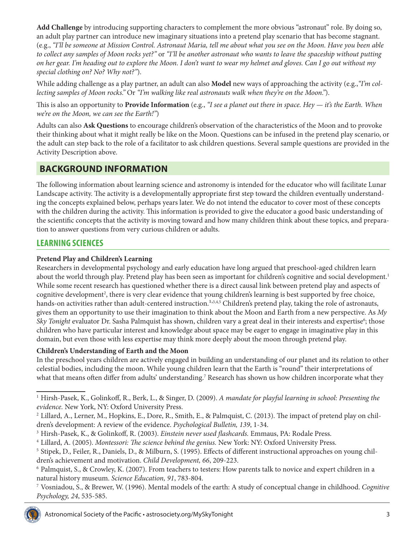**Add Challenge** by introducing supporting characters to complement the more obvious "astronaut" role. By doing so, an adult play partner can introduce new imaginary situations into a pretend play scenario that has become stagnant. (e.g., *"I'll be someone at Mission Control. Astronaut Maria, tell me about what you see on the Moon. Have you been able to collect any samples of Moon rocks yet?"* or *"I'll be another astronaut who wants to leave the spaceship without putting on her gear. I'm heading out to explore the Moon. I don't want to wear my helmet and gloves. Can I go out without my special clothing on? No? Why not?"*).

While adding challenge as a play partner, an adult can also **Model** new ways of approaching the activity (e.g.,*"I'm collecting samples of Moon rocks."* Or *"I'm walking like real astronauts walk when they're on the Moon."*).

This is also an opportunity to **Provide Information** (e.g., *"I see a planet out there in space. Hey — it's the Earth. When we're on the Moon, we can see the Earth!"*)

Adults can also **Ask Questions** to encourage children's observation of the characteristics of the Moon and to provoke their thinking about what it might really be like on the Moon. Questions can be infused in the pretend play scenario, or the adult can step back to the role of a facilitator to ask children questions. Several sample questions are provided in the Activity Description above.

# **BACKGROUND INFORMATION**

The following information about learning science and astronomy is intended for the educator who will facilitate Lunar Landscape activity. The activity is a developmentally appropriate first step toward the children eventually understanding the concepts explained below, perhaps years later. We do not intend the educator to cover most of these concepts with the children during the activity. This information is provided to give the educator a good basic understanding of the scientific concepts that the activity is moving toward and how many children think about these topics, and preparation to answer questions from very curious children or adults.

## **LEARNING SCIENCES**

### **Pretend Play and Children's Learning**

Researchers in developmental psychology and early education have long argued that preschool-aged children learn about the world through play. Pretend play has been seen as important for children's cognitive and social development.<sup>1</sup> While some recent research has questioned whether there is a direct causal link between pretend play and aspects of cognitive development<sup>2</sup>, there is very clear evidence that young children's learning is best supported by free choice, hands-on activities rather than adult-centered instruction.<sup>1,3,4,5</sup> Children's pretend play, taking the role of astronauts, gives them an opportunity to use their imagination to think about the Moon and Earth from a new perspective. As *My*  Sky Tonight evaluator Dr. Sasha Palmquist has shown, children vary a great deal in their interests and expertise<sup>6</sup>; those children who have particular interest and knowledge about space may be eager to engage in imaginative play in this domain, but even those with less expertise may think more deeply about the moon through pretend play.

### **Children's Understanding of Earth and the Moon**

In the preschool years children are actively engaged in building an understanding of our planet and its relation to other celestial bodies, including the moon. While young children learn that the Earth is "round" their interpretations of what that means often differ from adults' understanding.<sup>7</sup> Research has shown us how children incorporate what they

<sup>7</sup> Vosniadou, S., & Brewer, W. (1996). Mental models of the earth: A study of conceptual change in childhood. *Cognitive Psychology, 24*, 535-585.



<sup>1</sup> Hirsh-Pasek, K., Golinkoff, R., Berk, L., & Singer, D. (2009). *A mandate for playful learning in school: Presenting the evidence.* New York, NY: Oxford University Press.

<sup>&</sup>lt;sup>2</sup> Lillard, A., Lerner, M., Hopkins, E., Dore, R., Smith, E., & Palmquist, C. (2013). The impact of pretend play on children's development: A review of the evidence. *Psychological Bulletin, 139*, 1-34.

<sup>3</sup> Hirsh-Pasek, K., & Golinkoff, R. (2003). *Einstein never used flashcards.* Emmaus, PA: Rodale Press.

<sup>4</sup> Lillard, A. (2005). *Montessori: The science behind the genius.* New York: NY: Oxford University Press.

<sup>5</sup> Stipek, D., Feiler, R., Daniels, D., & Milburn, S. (1995). Effects of different instructional approaches on young children's achievement and motivation. *Child Development, 66*, 209-223.

<sup>6</sup> Palmquist, S., & Crowley, K. (2007). From teachers to testers: How parents talk to novice and expert children in a natural history museum. *Science Education, 91*, 783-804.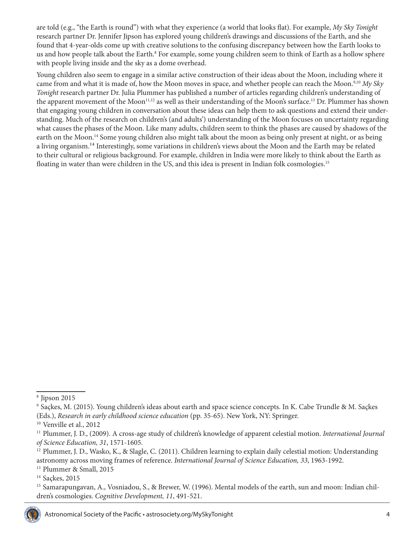are told (e.g., "the Earth is round") with what they experience (a world that looks flat). For example, *My Sky Tonight* research partner Dr. Jennifer Jipson has explored young children's drawings and discussions of the Earth, and she found that 4-year-olds come up with creative solutions to the confusing discrepancy between how the Earth looks to us and how people talk about the Earth.<sup>8</sup> For example, some young children seem to think of Earth as a hollow sphere with people living inside and the sky as a dome overhead.

Young children also seem to engage in a similar active construction of their ideas about the Moon, including where it came from and what it is made of, how the Moon moves in space, and whether people can reach the Moon.<sup>9,10</sup> My Sky *Tonight* research partner Dr. Julia Plummer has published a number of articles regarding children's understanding of the apparent movement of the Moon<sup>11,12</sup> as well as their understanding of the Moon's surface.<sup>13</sup> Dr. Plummer has shown that engaging young children in conversation about these ideas can help them to ask questions and extend their understanding. Much of the research on children's (and adults') understanding of the Moon focuses on uncertainty regarding what causes the phases of the Moon. Like many adults, children seem to think the phases are caused by shadows of the earth on the Moon.<sup>14</sup> Some young children also might talk about the moon as being only present at night, or as being a living organism.14 Interestingly, some variations in children's views about the Moon and the Earth may be related to their cultural or religious background. For example, children in India were more likely to think about the Earth as floating in water than were children in the US, and this idea is present in Indian folk cosmologies.15

<sup>&</sup>lt;sup>15</sup> Samarapungavan, A., Vosniadou, S., & Brewer, W. (1996). Mental models of the earth, sun and moon: Indian children's cosmologies. *Cognitive Development, 11*, 491-521.



<sup>8</sup> Jipson 2015

<sup>9</sup> Saçkes, M. (2015). Young children's ideas about earth and space science concepts. In K. Cabe Trundle & M. Saçkes (Eds.), *Research in early childhood science education* (pp. 35-65). New York, NY: Springer.

<sup>10</sup> Venville et al., 2012

<sup>11</sup> Plummer, J. D., (2009). A cross-age study of children's knowledge of apparent celestial motion. *International Journal of Science Education, 31*, 1571-1605.

<sup>&</sup>lt;sup>12</sup> Plummer, J. D., Wasko, K., & Slagle, C. (2011). Children learning to explain daily celestial motion: Understanding astronomy across moving frames of reference. *International Journal of Science Education, 33*, 1963-1992.

<sup>13</sup> Plummer & Small, 2015

<sup>14</sup> Saçkes, 2015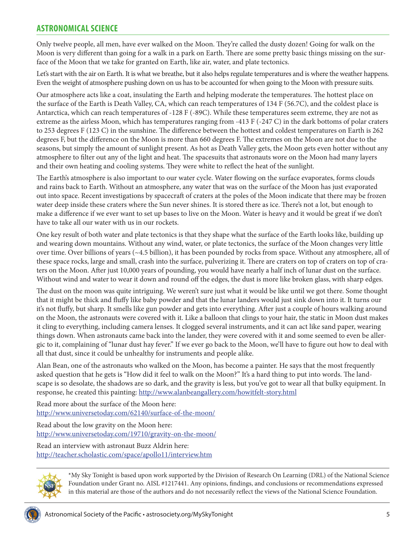## **ASTRONOMICAL SCIENCE**

Only twelve people, all men, have ever walked on the Moon. They're called the dusty dozen! Going for walk on the Moon is very different than going for a walk in a park on Earth. There are some pretty basic things missing on the surface of the Moon that we take for granted on Earth, like air, water, and plate tectonics.

Let's start with the air on Earth. It is what we breathe, but it also helps regulate temperatures and is where the weather happens. Even the weight of atmosphere pushing down on us has to be accounted for when going to the Moon with pressure suits.

Our atmosphere acts like a coat, insulating the Earth and helping moderate the temperatures. The hottest place on the surface of the Earth is Death Valley, CA, which can reach temperatures of 134 F (56.7C), and the coldest place is Antarctica, which can reach temperatures of -128 F (-89C). While these temperatures seem extreme, they are not as extreme as the airless Moon, which has temperatures ranging from -413 F (-247 C) in the dark bottoms of polar craters to 253 degrees F (123 C) in the sunshine. The difference between the hottest and coldest temperatures on Earth is 262 degrees F, but the difference on the Moon is more than 660 degrees F. The extremes on the Moon are not due to the seasons, but simply the amount of sunlight present. As hot as Death Valley gets, the Moon gets even hotter without any atmosphere to filter out any of the light and heat. The spacesuits that astronauts wore on the Moon had many layers and their own heating and cooling systems. They were white to reflect the heat of the sunlight.

The Earth's atmosphere is also important to our water cycle. Water flowing on the surface evaporates, forms clouds and rains back to Earth. Without an atmosphere, any water that was on the surface of the Moon has just evaporated out into space. Recent investigations by spacecraft of craters at the poles of the Moon indicate that there may be frozen water deep inside these craters where the Sun never shines. It is stored there as ice. There's not a lot, but enough to make a difference if we ever want to set up bases to live on the Moon. Water is heavy and it would be great if we don't have to take all our water with us in our rockets.

One key result of both water and plate tectonics is that they shape what the surface of the Earth looks like, building up and wearing down mountains. Without any wind, water, or plate tectonics, the surface of the Moon changes very little over time. Over billions of years (~4.5 billion), it has been pounded by rocks from space. Without any atmosphere, all of these space rocks, large and small, crash into the surface, pulverizing it. There are craters on top of craters on top of craters on the Moon. After just 10,000 years of pounding, you would have nearly a half inch of lunar dust on the surface. Without wind and water to wear it down and round off the edges, the dust is more like broken glass, with sharp edges.

The dust on the moon was quite intriguing. We weren't sure just what it would be like until we got there. Some thought that it might be thick and fluffy like baby powder and that the lunar landers would just sink down into it. It turns our it's not fluffy, but sharp. It smells like gun powder and gets into everything. After just a couple of hours walking around on the Moon, the astronauts were covered with it. Like a balloon that clings to your hair, the static in Moon dust makes it cling to everything, including camera lenses. It clogged several instruments, and it can act like sand paper, wearing things down. When astronauts came back into the lander, they were covered with it and some seemed to even be allergic to it, complaining of "lunar dust hay fever." If we ever go back to the Moon, we'll have to figure out how to deal with all that dust, since it could be unhealthy for instruments and people alike.

Alan Bean, one of the astronauts who walked on the Moon, has become a painter. He says that the most frequently asked question that he gets is "How did it feel to walk on the Moon?" It's a hard thing to put into words. The landscape is so desolate, the shadows are so dark, and the gravity is less, but you've got to wear all that bulky equipment. In response, he created this painting:<http://www.alanbeangallery.com/howitfelt-story.html>

Read more about the surface of the Moon here: <http://www.universetoday.com/62140/surface-of-the-moon/>

Read about the low gravity on the Moon here: <http://www.universetoday.com/19710/gravity-on-the-moon/>

Read an interview with astronaut Buzz Aldrin here: <http://teacher.scholastic.com/space/apollo11/interview.htm>



\*My Sky Tonight is based upon work supported by the Division of Research On Learning (DRL) of the National Science Foundation under Grant no. AISL #1217441. Any opinions, findings, and conclusions or recommendations expressed in this material are those of the authors and do not necessarily reflect the views of the National Science Foundation.